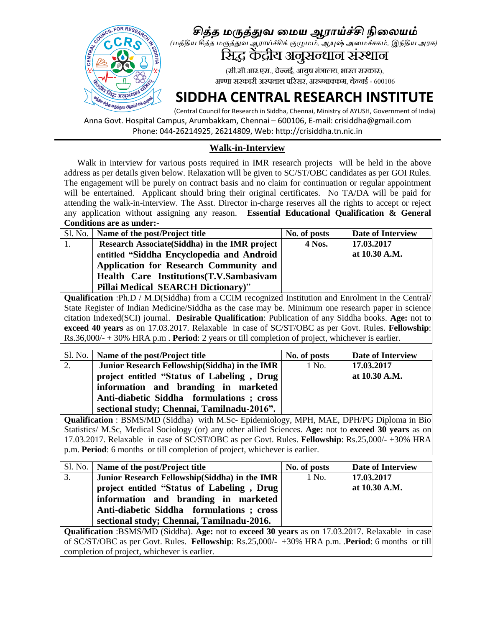

### *சித்த மருத்துவ மமய ஆராய்ச்சி நிமையம்*

*(மத்திய சித்த மருத்துவ ஆராய்ச்சிக் குழுமம், ஆயுஷ் அமமச்சகம், இந்திய அரசு)*

# सिद्ध केंद्रीय अंजुसन्धान संस्थान

(सी.सी.आर.एस., चेन्नई, आयुष मंत्रालय, भारत सरकार), अण्णा सरकारी अस्पताल परिसर, अरुम्बाक्कम, चेन्नई - 600106

## **SIDDHA CENTRAL RESEARCH INSTITUTE**

(Central Council for Research in Siddha, Chennai, Ministry of AYUSH, Government of India) Anna Govt. Hospital Campus, Arumbakkam, Chennai – 600106, E-mail: crisiddha@gmail.com Phone: 044-26214925, 26214809, Web: http://crisiddha.tn.nic.in

#### **Walk-in-Interview**

 Walk in interview for various posts required in IMR research projects will be held in the above address as per details given below. Relaxation will be given to SC/ST/OBC candidates as per GOI Rules. The engagement will be purely on contract basis and no claim for continuation or regular appointment will be entertained. Applicant should bring their original certificates. No TA/DA will be paid for attending the walk-in-interview. The Asst. Director in-charge reserves all the rights to accept or reject any application without assigning any reason. **Essential Educational Qualification & General Conditions are as under:-**

| Sl. No.   Name of the post/Project title  | No. of posts | Date of Interview                              |
|-------------------------------------------|--------------|------------------------------------------------|
|                                           | 4 Nos.       | 17.03.2017                                     |
| entitled "Siddha Encyclopedia and Android |              | at 10.30 A.M.                                  |
| Application for Research Community and    |              |                                                |
| Health Care Institutions (T.V.Sambasivam  |              |                                                |
| <b>Pillai Medical SEARCH Dictionary)"</b> |              |                                                |
|                                           |              | Research Associate (Siddha) in the IMR project |

**Qualification** :Ph.D / M.D(Siddha) from a CCIM recognized Institution and Enrolment in the Central/ State Register of Indian Medicine/Siddha as the case may be. Minimum one research paper in science citation Indexed(SCI) journal. **Desirable Qualification**: Publication of any Siddha books. **Age:** not to **exceed 40 years** as on 17.03.2017. Relaxable in case of SC/ST/OBC as per Govt. Rules. **Fellowship**: Rs.36,000/- + 30% HRA p.m . **Period**: 2 years or till completion of project, whichever is earlier.

|    | Sl. No.   Name of the post/Project title       | No. of posts | Date of Interview |
|----|------------------------------------------------|--------------|-------------------|
| 2. | Junior Research Fellowship (Siddha) in the IMR | 1 No.        | 17.03.2017        |
|    | project entitled "Status of Labeling, Drug     |              | at 10.30 A.M.     |
|    | information and branding in marketed           |              |                   |
|    | Anti-diabetic Siddha formulations; cross       |              |                   |
|    | sectional study; Chennai, Tamilnadu-2016".     |              |                   |

**Qualification** : BSMS/MD (Siddha) with M.Sc- Epidemiology, MPH, MAE, DPH/PG Diploma in Bio Statistics/ M.Sc, Medical Sociology (or) any other allied Sciences. **Age:** not to **exceed 30 years** as on 17.03.2017. Relaxable in case of SC/ST/OBC as per Govt. Rules. **Fellowship**: Rs.25,000/- +30% HRA p.m. **Period**: 6 months or till completion of project, whichever is earlier.

|    | Sl. No.   Name of the post/Project title      | No. of posts | Date of Interview |
|----|-----------------------------------------------|--------------|-------------------|
| 3. | Junior Research Fellowship(Siddha) in the IMR | 1 No.        | 17.03.2017        |
|    | project entitled "Status of Labeling, Drug    |              | at 10.30 A.M.     |
|    | information and branding in marketed          |              |                   |
|    | Anti-diabetic Siddha formulations; cross      |              |                   |
|    | sectional study; Chennai, Tamilnadu-2016.     |              |                   |

**Qualification** :BSMS/MD (Siddha). **Age:** not to **exceed 30 years** as on 17.03.2017. Relaxable in case of SC/ST/OBC as per Govt. Rules. **Fellowship**: Rs.25,000/- +30% HRA p.m. .**Period**: 6 months or till completion of project, whichever is earlier.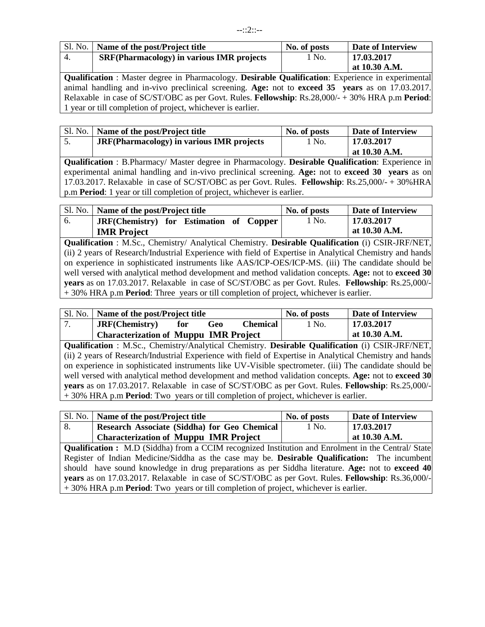|     | Sl. No.   Name of the post/Project title         | No. of posts | <b>Date of Interview</b> |
|-----|--------------------------------------------------|--------------|--------------------------|
| -4. | <b>SRF(Pharmacology) in various IMR projects</b> | 1 No.        | 17.03.2017               |
|     |                                                  |              | at 10.30 A.M.            |

**Qualification** : Master degree in Pharmacology. **Desirable Qualification**: Experience in experimental animal handling and in-vivo preclinical screening. **Age:** not to **exceed 35 years** as on 17.03.2017. Relaxable in case of SC/ST/OBC as per Govt. Rules. **Fellowship**: Rs.28,000/- + 30% HRA p.m **Period**: 1 year or till completion of project, whichever is earlier.

| Sl. No. | Name of the post/Project title                           | No. of posts | Date of Interview |
|---------|----------------------------------------------------------|--------------|-------------------|
|         | <b>JRF</b> (Pharmacology) in various <b>IMR</b> projects | . No.        | 17.03.2017        |
|         |                                                          |              | at 10.30 A.M.     |

**Qualification** : B.Pharmacy/ Master degree in Pharmacology. **Desirable Qualification**: Experience in experimental animal handling and in-vivo preclinical screening. **Age:** not to **exceed 30 years** as on 17.03.2017. Relaxable in case of SC/ST/OBC as per Govt. Rules. **Fellowship**: Rs.25,000/- + 30%HRA p.m **Period**: 1 year or till completion of project, whichever is earlier.

| Sl. No. | Name of the post/Project title          | No. of posts | <b>Date of Interview</b> |
|---------|-----------------------------------------|--------------|--------------------------|
| 6.      | IRF(Chemistry) for Estimation of Copper | 1 No.        | 17.03.2017               |
|         | <b>IMR</b> Project                      |              | at $10.30$ A.M.          |

**Qualification** : M.Sc., Chemistry/ Analytical Chemistry. **Desirable Qualification** (i) CSIR-JRF/NET, (ii) 2 years of Research/Industrial Experience with field of Expertise in Analytical Chemistry and hands on experience in sophisticated instruments like AAS/ICP-OES/ICP-MS. (iii) The candidate should be well versed with analytical method development and method validation concepts. **Age:** not to **exceed 30 years** as on 17.03.2017. Relaxable in case of SC/ST/OBC as per Govt. Rules. **Fellowship**: Rs.25,000/- + 30% HRA p.m **Period**: Three years or till completion of project, whichever is earlier.

| Sl. No.   Name of the post/Project title     |     |     | No. of posts    | <b>Date of Interview</b> |                 |
|----------------------------------------------|-----|-----|-----------------|--------------------------|-----------------|
| JRF(Chemistry)                               | for | Geo | <b>Chemical</b> | 1 No.                    | 17.03.2017      |
| <b>Characterization of Muppu IMR Project</b> |     |     |                 |                          | at $10.30$ A.M. |

**Qualification** : M.Sc., Chemistry/Analytical Chemistry. **Desirable Qualification** (i) CSIR-JRF/NET, (ii) 2 years of Research/Industrial Experience with field of Expertise in Analytical Chemistry and hands on experience in sophisticated instruments like UV-Visible spectrometer. (iii) The candidate should be well versed with analytical method development and method validation concepts. **Age:** not to **exceed 30 years** as on 17.03.2017. Relaxable in case of SC/ST/OBC as per Govt. Rules. **Fellowship**: Rs.25,000/- + 30% HRA p.m **Period**: Two years or till completion of project, whichever is earlier.

| Sl. No.                                                                                                    | Name of the post/Project title                                                                                                                                                                                                   | No. of posts | Date of Interview |  |
|------------------------------------------------------------------------------------------------------------|----------------------------------------------------------------------------------------------------------------------------------------------------------------------------------------------------------------------------------|--------------|-------------------|--|
| 8.                                                                                                         | Research Associate (Siddha) for Geo Chemical                                                                                                                                                                                     | 1 No.        | 17.03.2017        |  |
|                                                                                                            | <b>Characterization of Muppu IMR Project</b>                                                                                                                                                                                     |              | at 10.30 A.M.     |  |
| <b>Qualification :</b> M.D (Siddha) from a CCIM recognized Institution and Enrolment in the Central/ State |                                                                                                                                                                                                                                  |              |                   |  |
|                                                                                                            | $\mathbf{u}$ ווי מינים מינים ומינים ומנים מינים מינים מונים מינים מינים מינים מינים מינים מינים מינים מינים מינים מינים מינים מינים מינים מינים מינים מינים מינים מינים מינים מינים מינים מינים מינים מינים מינים מינים מינים מי |              |                   |  |

Register of Indian Medicine/Siddha as the case may be. **Desirable Qualification:** The incumbent should have sound knowledge in drug preparations as per Siddha literature. **Age:** not to **exceed 40 years** as on 17.03.2017. Relaxable in case of SC/ST/OBC as per Govt. Rules. **Fellowship**: Rs.36,000/- + 30% HRA p.m **Period**: Two years or till completion of project, whichever is earlier.